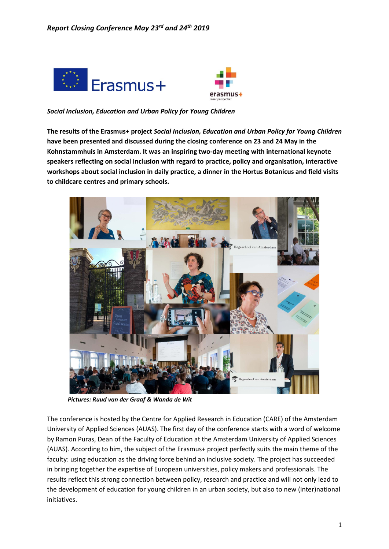



*Social Inclusion, Education and Urban Policy for Young Children*

**The results of the Erasmus+ project** *Social Inclusion, Education and Urban Policy for Young Children* **have been presented and discussed during the closing conference on 23 and 24 May in the Kohnstammhuis in Amsterdam. It was an inspiring two-day meeting with international keynote speakers reflecting on social inclusion with regard to practice, policy and organisation, interactive workshops about social inclusion in daily practice, a dinner in the Hortus Botanicus and field visits to childcare centres and primary schools.**



 *Pictures: Ruud van der Graaf & Wanda de Wit* 

The conference is hosted by the Centre for Applied Research in Education (CARE) of the Amsterdam University of Applied Sciences (AUAS). The first day of the conference starts with a word of welcome by Ramon Puras, Dean of the Faculty of Education at the Amsterdam University of Applied Sciences (AUAS). According to him, the subject of the Erasmus+ project perfectly suits the main theme of the faculty: using education as the driving force behind an inclusive society. The project has succeeded in bringing together the expertise of European universities, policy makers and professionals. The results reflect this strong connection between policy, research and practice and will not only lead to the development of education for young children in an urban society, but also to new (inter)national initiatives.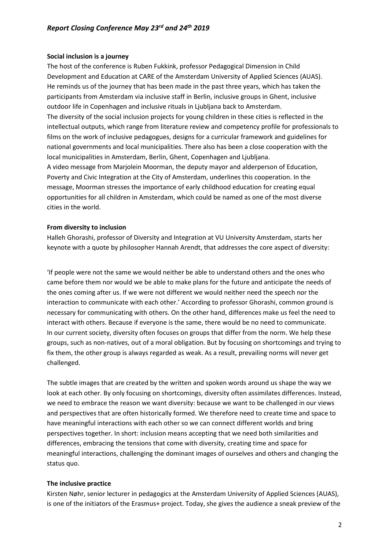### **Social inclusion is a journey**

The host of the conference is Ruben Fukkink, professor Pedagogical Dimension in Child Development and Education at CARE of the Amsterdam University of Applied Sciences (AUAS). He reminds us of the journey that has been made in the past three years, which has taken the participants from Amsterdam via inclusive staff in Berlin, inclusive groups in Ghent, inclusive outdoor life in Copenhagen and inclusive rituals in Ljubljana back to Amsterdam. The diversity of the social inclusion projects for young children in these cities is reflected in the intellectual outputs, which range from literature review and competency profile for professionals to films on the work of inclusive pedagogues, designs for a curricular framework and guidelines for national governments and local municipalities. There also has been a close cooperation with the local municipalities in Amsterdam, Berlin, Ghent, Copenhagen and Ljubljana. A video message from Marjolein Moorman, the deputy mayor and alderperson of Education, Poverty and Civic Integration at the City of Amsterdam, underlines this cooperation. In the message, Moorman stresses the importance of early childhood education for creating equal opportunities for all children in Amsterdam, which could be named as one of the most diverse cities in the world.

## **From diversity to inclusion**

Halleh Ghorashi, professor of Diversity and Integration at VU University Amsterdam, starts her keynote with a quote by philosopher Hannah Arendt, that addresses the core aspect of diversity:

'If people were not the same we would neither be able to understand others and the ones who came before them nor would we be able to make plans for the future and anticipate the needs of the ones coming after us. If we were not different we would neither need the speech nor the interaction to communicate with each other.' According to professor Ghorashi, common ground is necessary for communicating with others. On the other hand, differences make us feel the need to interact with others. Because if everyone is the same, there would be no need to communicate. In our current society, diversity often focuses on groups that differ from the norm. We help these groups, such as non-natives, out of a moral obligation. But by focusing on shortcomings and trying to fix them, the other group is always regarded as weak. As a result, prevailing norms will never get challenged.

The subtle images that are created by the written and spoken words around us shape the way we look at each other. By only focusing on shortcomings, diversity often assimilates differences. Instead, we need to embrace the reason we want diversity: because we want to be challenged in our views and perspectives that are often historically formed. We therefore need to create time and space to have meaningful interactions with each other so we can connect different worlds and bring perspectives together. In short: inclusion means accepting that we need both similarities and differences, embracing the tensions that come with diversity, creating time and space for meaningful interactions, challenging the dominant images of ourselves and others and changing the status quo.

### **The inclusive practice**

Kirsten Nøhr, senior lecturer in pedagogics at the Amsterdam University of Applied Sciences (AUAS), is one of the initiators of the Erasmus+ project. Today, she gives the audience a sneak preview of the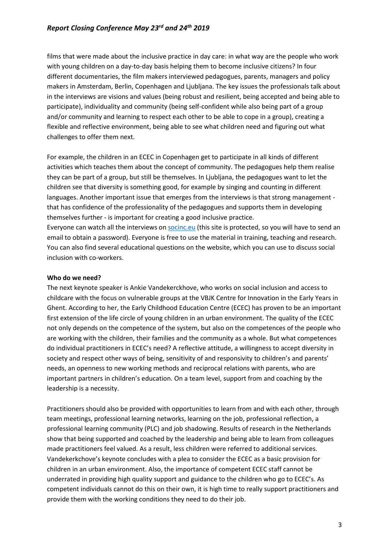# *Report Closing Conference May 23rd and 24th 2019*

films that were made about the inclusive practice in day care: in what way are the people who work with young children on a day-to-day basis helping them to become inclusive citizens? In four different documentaries, the film makers interviewed pedagogues, parents, managers and policy makers in Amsterdam, Berlin, Copenhagen and Ljubljana. The key issues the professionals talk about in the interviews are visions and values (being robust and resilient, being accepted and being able to participate), individuality and community (being self-confident while also being part of a group and/or community and learning to respect each other to be able to cope in a group), creating a flexible and reflective environment, being able to see what children need and figuring out what challenges to offer them next.

For example, the children in an ECEC in Copenhagen get to participate in all kinds of different activities which teaches them about the concept of community. The pedagogues help them realise they can be part of a group, but still be themselves. In Ljubljana, the pedagogues want to let the children see that diversity is something good, for example by singing and counting in different languages. Another important issue that emerges from the interviews is that strong management that has confidence of the professionality of the pedagogues and supports them in developing themselves further - is important for creating a good inclusive practice. Everyone can watch all the interviews on [socinc.eu](https://socinc.eu/) (this site is protected, so you will have to send an email to obtain a password). Everyone is free to use the material in training, teaching and research. You can also find several educational questions on the website, which you can use to discuss social inclusion with co-workers.

#### **Who do we need?**

The next keynote speaker is Ankie Vandekerckhove, who works on social inclusion and access to childcare with the focus on vulnerable groups at the VBJK Centre for Innovation in the Early Years in Ghent. According to her, the Early Childhood Education Centre (ECEC) has proven to be an important first extension of the life circle of young children in an urban environment. The quality of the ECEC not only depends on the competence of the system, but also on the competences of the people who are working with the children, their families and the community as a whole. But what competences do individual practitioners in ECEC's need? A reflective attitude, a willingness to accept diversity in society and respect other ways of being, sensitivity of and responsivity to children's and parents' needs, an openness to new working methods and reciprocal relations with parents, who are important partners in children's education. On a team level, support from and coaching by the leadership is a necessity.

Practitioners should also be provided with opportunities to learn from and with each other, through team meetings, professional learning networks, learning on the job, professional reflection, a professional learning community (PLC) and job shadowing. Results of research in the Netherlands show that being supported and coached by the leadership and being able to learn from colleagues made practitioners feel valued. As a result, less children were referred to additional services. Vandekerkchove's keynote concludes with a plea to consider the ECEC as a basic provision for children in an urban environment. Also, the importance of competent ECEC staff cannot be underrated in providing high quality support and guidance to the children who go to ECEC's. As competent individuals cannot do this on their own, it is high time to really support practitioners and provide them with the working conditions they need to do their job.